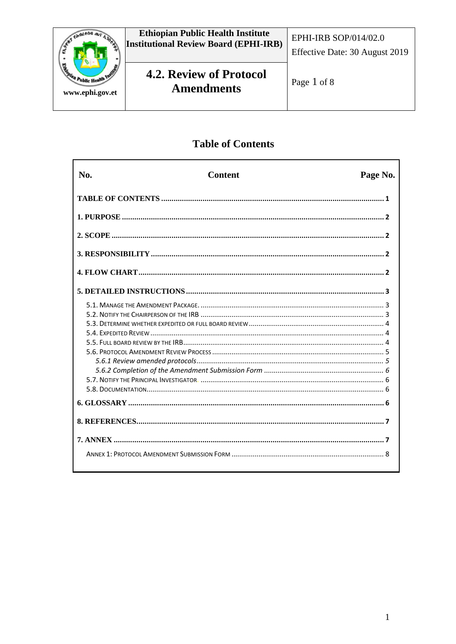

# **Table of Contents**

| No. | <b>Content</b> | Page No. |
|-----|----------------|----------|
|     |                |          |
|     |                |          |
|     |                |          |
|     |                |          |
|     |                |          |
|     |                |          |
|     |                |          |
|     |                |          |
|     |                |          |
|     |                |          |
|     |                |          |
|     |                |          |
|     |                |          |
|     |                |          |
|     |                |          |
|     |                |          |
|     |                |          |
|     |                |          |
|     |                |          |
|     |                |          |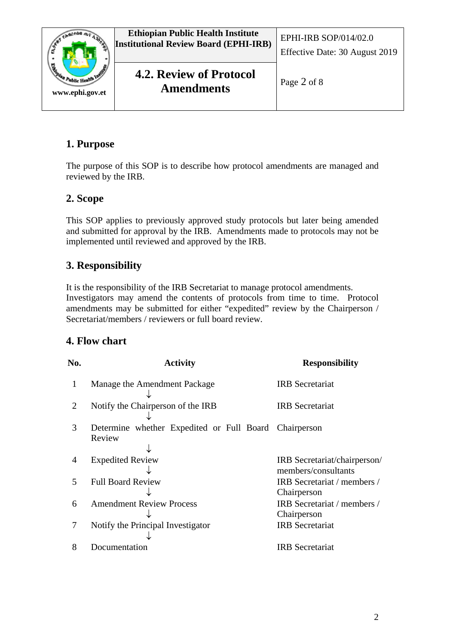

# **1. Purpose**

The purpose of this SOP is to describe how protocol amendments are managed and reviewed by the IRB.

# **2. Scope**

This SOP applies to previously approved study protocols but later being amended and submitted for approval by the IRB. Amendments made to protocols may not be implemented until reviewed and approved by the IRB.

# **3. Responsibility**

It is the responsibility of the IRB Secretariat to manage protocol amendments. Investigators may amend the contents of protocols from time to time. Protocol amendments may be submitted for either "expedited" review by the Chairperson / Secretariat/members / reviewers or full board review.

# **4. Flow chart**

| No.                      | <b>Activity</b>                                                 | <b>Responsibility</b>                               |
|--------------------------|-----------------------------------------------------------------|-----------------------------------------------------|
| 1                        | Manage the Amendment Package                                    | <b>IRB</b> Secretariat                              |
| 2                        | Notify the Chairperson of the IRB                               | <b>IRB</b> Secretariat                              |
| 3                        | Determine whether Expedited or Full Board Chairperson<br>Review |                                                     |
| 4                        | <b>Expedited Review</b>                                         | IRB Secretariat/chairperson/<br>members/consultants |
| $\overline{\phantom{1}}$ | <b>Full Board Review</b>                                        | IRB Secretariat / members /<br>Chairperson          |
| 6                        | <b>Amendment Review Process</b>                                 | IRB Secretariat / members /<br>Chairperson          |
| 7                        | Notify the Principal Investigator                               | <b>IRB</b> Secretariat                              |
| 8                        | Documentation                                                   | <b>IRB</b> Secretariat                              |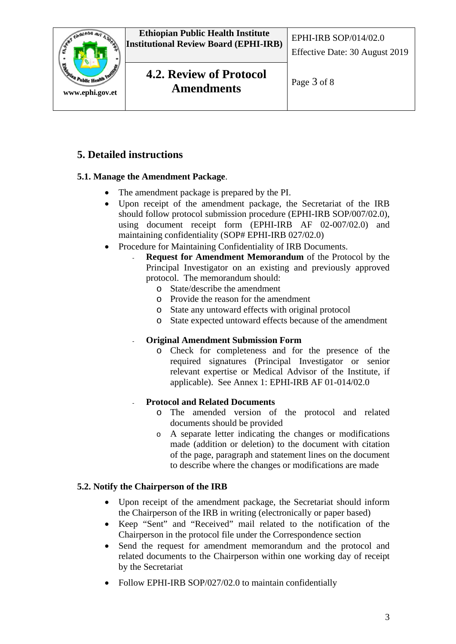

# **5. Detailed instructions**

## **5.1. Manage the Amendment Package**.

- The amendment package is prepared by the PI.
- Upon receipt of the amendment package, the Secretariat of the IRB should follow protocol submission procedure (EPHI-IRB SOP/007/02.0), using document receipt form (EPHI-IRB AF 02-007/02.0) and maintaining confidentiality (SOP# EPHI-IRB 027/02.0)
- Procedure for Maintaining Confidentiality of IRB Documents.
	- **Request for Amendment Memorandum** of the Protocol by the Principal Investigator on an existing and previously approved protocol. The memorandum should:
		- o State/describe the amendment
		- o Provide the reason for the amendment
		- o State any untoward effects with original protocol
		- o State expected untoward effects because of the amendment

## - **Original Amendment Submission Form**

o Check for completeness and for the presence of the required signatures (Principal Investigator or senior relevant expertise or Medical Advisor of the Institute, if applicable). See Annex 1: EPHI-IRB AF 01-014/02.0

## - **Protocol and Related Documents**

- o The amended version of the protocol and related documents should be provided
- o A separate letter indicating the changes or modifications made (addition or deletion) to the document with citation of the page, paragraph and statement lines on the document to describe where the changes or modifications are made

## **5.2. Notify the Chairperson of the IRB**

- Upon receipt of the amendment package, the Secretariat should inform the Chairperson of the IRB in writing (electronically or paper based)
- Keep "Sent" and "Received" mail related to the notification of the Chairperson in the protocol file under the Correspondence section
- Send the request for amendment memorandum and the protocol and related documents to the Chairperson within one working day of receipt by the Secretariat
- Follow EPHI-IRB SOP/027/02.0 to maintain confidentially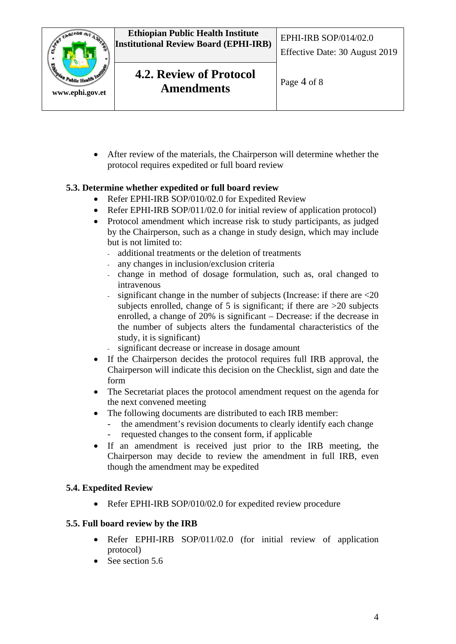

• After review of the materials, the Chairperson will determine whether the protocol requires expedited or full board review

## **5.3. Determine whether expedited or full board review**

- Refer EPHI-IRB SOP/010/02.0 for Expedited Review
- Refer EPHI-IRB SOP/011/02.0 for initial review of application protocol)
- Protocol amendment which increase risk to study participants, as judged by the Chairperson, such as a change in study design, which may include but is not limited to:
	- additional treatments or the deletion of treatments
	- any changes in inclusion/exclusion criteria
	- change in method of dosage formulation, such as, oral changed to intravenous
	- significant change in the number of subjects (Increase: if there are  $\leq 20$ subjects enrolled, change of 5 is significant; if there are  $>20$  subjects enrolled, a change of 20% is significant – Decrease: if the decrease in the number of subjects alters the fundamental characteristics of the study, it is significant)
	- significant decrease or increase in dosage amount
- If the Chairperson decides the protocol requires full IRB approval, the Chairperson will indicate this decision on the Checklist, sign and date the form
- The Secretariat places the protocol amendment request on the agenda for the next convened meeting
- The following documents are distributed to each IRB member:
	- the amendment's revision documents to clearly identify each change<br>requested changes to the consent form, if applicable requested changes to the consent form, if applicable
- If an amendment is received just prior to the IRB meeting, the Chairperson may decide to review the amendment in full IRB, even though the amendment may be expedited

#### **5.4. Expedited Review**

• Refer EPHI-IRB SOP/010/02.0 for expedited review procedure

#### **5.5. Full board review by the IRB**

- Refer EPHI-IRB SOP/011/02.0 (for initial review of application protocol)
- See section 5.6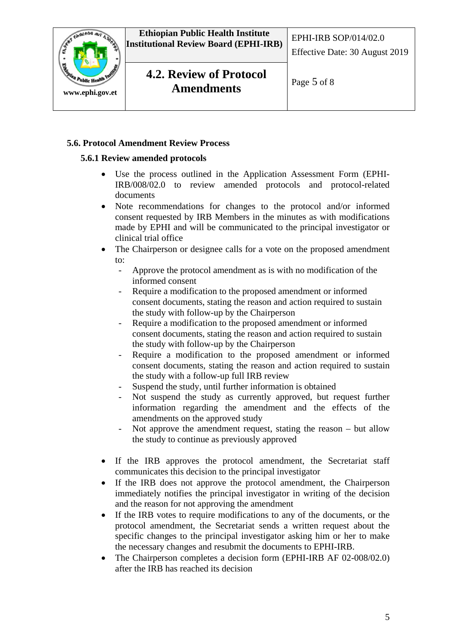

#### **5.6. Protocol Amendment Review Process**

#### **5.6.1 Review amended protocols**

- Use the process outlined in the Application Assessment Form (EPHI-IRB/008/02.0 to review amended protocols and protocol-related documents
- Note recommendations for changes to the protocol and/or informed consent requested by IRB Members in the minutes as with modifications made by EPHI and will be communicated to the principal investigator or clinical trial office
- The Chairperson or designee calls for a vote on the proposed amendment to:
	- Approve the protocol amendment as is with no modification of the informed consent
	- Require a modification to the proposed amendment or informed consent documents, stating the reason and action required to sustain the study with follow-up by the Chairperson
	- Require a modification to the proposed amendment or informed consent documents, stating the reason and action required to sustain the study with follow-up by the Chairperson
	- Require a modification to the proposed amendment or informed consent documents, stating the reason and action required to sustain the study with a follow-up full IRB review
	- Suspend the study, until further information is obtained
	- Not suspend the study as currently approved, but request further information regarding the amendment and the effects of the amendments on the approved study
	- Not approve the amendment request, stating the reason  $-$  but allow the study to continue as previously approved
- If the IRB approves the protocol amendment, the Secretariat staff communicates this decision to the principal investigator
- If the IRB does not approve the protocol amendment, the Chairperson immediately notifies the principal investigator in writing of the decision and the reason for not approving the amendment
- If the IRB votes to require modifications to any of the documents, or the protocol amendment, the Secretariat sends a written request about the specific changes to the principal investigator asking him or her to make the necessary changes and resubmit the documents to EPHI-IRB.
- The Chairperson completes a decision form (EPHI-IRB AF 02-008/02.0) after the IRB has reached its decision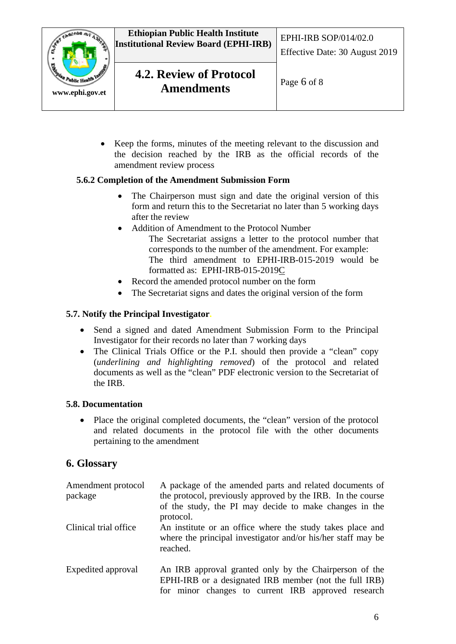

• Keep the forms, minutes of the meeting relevant to the discussion and the decision reached by the IRB as the official records of the amendment review process

### **5.6.2 Completion of the Amendment Submission Form**

- The Chairperson must sign and date the original version of this form and return this to the Secretariat no later than 5 working days after the review
- Addition of Amendment to the Protocol Number The Secretariat assigns a letter to the protocol number that corresponds to the number of the amendment. For example: The third amendment to EPHI-IRB-015-2019 would be formatted as: EPHI-IRB-015-2019C
- Record the amended protocol number on the form
- The Secretariat signs and dates the original version of the form

### **5.7. Notify the Principal Investigator.**

- Send a signed and dated Amendment Submission Form to the Principal Investigator for their records no later than 7 working days
- The Clinical Trials Office or the P.I. should then provide a "clean" copy (*underlining and highlighting removed*) of the protocol and related documents as well as the "clean" PDF electronic version to the Secretariat of the IRB.

#### **5.8. Documentation**

• Place the original completed documents, the "clean" version of the protocol and related documents in the protocol file with the other documents pertaining to the amendment

## **6. Glossary**

| Amendment protocol<br>package | A package of the amended parts and related documents of<br>the protocol, previously approved by the IRB. In the course<br>of the study, the PI may decide to make changes in the<br>protocol. |  |
|-------------------------------|-----------------------------------------------------------------------------------------------------------------------------------------------------------------------------------------------|--|
| Clinical trial office         | An institute or an office where the study takes place and<br>where the principal investigator and/or his/her staff may be<br>reached.                                                         |  |
| Expedited approval            | An IRB approval granted only by the Chairperson of the<br>EPHI-IRB or a designated IRB member (not the full IRB)<br>for minor changes to current IRB approved research                        |  |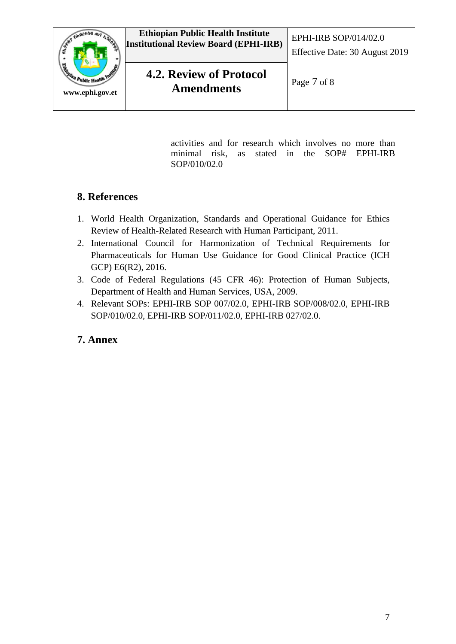

activities and for research which involves no more than minimal risk, as stated in the SOP# EPHI-IRB SOP/010/02.0

# **8. References**

- 1. World Health Organization, Standards and Operational Guidance for Ethics Review of Health-Related Research with Human Participant, 2011.
- 2. International Council for Harmonization of Technical Requirements for Pharmaceuticals for Human Use Guidance for Good Clinical Practice (ICH GCP) E6(R2), 2016.
- 3. Code of Federal Regulations (45 CFR 46): Protection of Human Subjects, Department of Health and Human Services, USA, 2009.
- 4. Relevant SOPs: EPHI-IRB SOP 007/02.0, EPHI-IRB SOP/008/02.0, EPHI-IRB SOP/010/02.0, EPHI-IRB SOP/011/02.0, EPHI-IRB 027/02.0.

# **7. Annex**